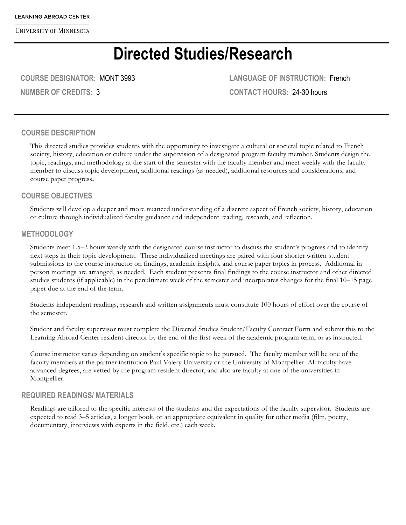# **Directed Studies/Research**

**COURSE DESIGNATOR:** MONT 3993

**NUMBER OF CREDITS:** 3

**LANGUAGE OF INSTRUCTION:** French **CONTACT HOURS:** 24-30 hours

#### **COURSE DESCRIPTION**

This directed studies provides students with the opportunity to investigate a cultural or societal topic related to French society, history, education or culture under the supervision of a designated program faculty member. Students design the topic, readings, and methodology at the start of the semester with the faculty member and meet weekly with the faculty member to discuss topic development, additional readings (as needed), additional resources and considerations, and course paper progress**.**

#### **COURSE OBJECTIVES**

Students will develop a deeper and more nuanced understanding of a discrete aspect of French society, history, education or culture through individualized faculty guidance and independent reading, research, and reflection.

#### **METHODOLOGY**

Students meet 1.5–2 hours weekly with the designated course instructor to discuss the student's progress and to identify next steps in their topic development. These individualized meetings are paired with four shorter written student submissions to the course instructor on findings, academic insights, and course paper topics in process. Additional in person meetings are arranged, as needed. Each student presents final findings to the course instructor and other directed studies students (if applicable) in the penultimate week of the semester and incorporates changes for the final 10–15 page paper due at the end of the term.

Students independent readings, research and written assignments must constitute 100 hours of effort over the course of the semester.

Student and faculty supervisor must complete the Directed Studies Student/Faculty Contract Form and submit this to the Learning Abroad Center resident director by the end of the first week of the academic program term, or as instructed.

Course instructor varies depending on student's specific topic to be pursued. The faculty member will be one of the faculty members at the partner institution Paul Valery University or the University of Montpellier. All faculty have advanced degrees, are vetted by the program resident director, and also are faculty at one of the universities in Montpellier.

#### **REQUIRED READINGS/ MATERIALS**

Readings are tailored to the specific interests of the students and the expectations of the faculty supervisor. Students are expected to read 3–5 articles, a longer book, or an appropriate equivalent in quality for other media (film, poetry, documentary, interviews with experts in the field, etc.) each week.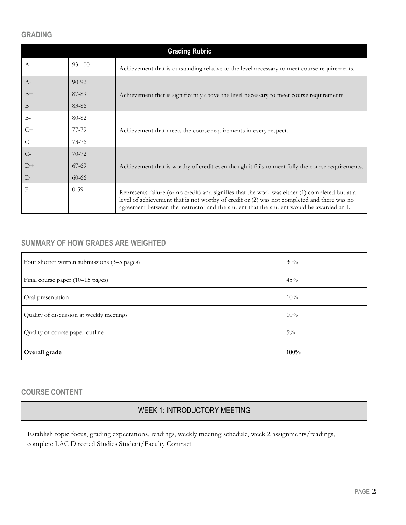#### **GRADING**

| <b>Grading Rubric</b> |           |                                                                                                                                                                                                                                                                                            |  |
|-----------------------|-----------|--------------------------------------------------------------------------------------------------------------------------------------------------------------------------------------------------------------------------------------------------------------------------------------------|--|
| A                     | 93-100    | Achievement that is outstanding relative to the level necessary to meet course requirements.                                                                                                                                                                                               |  |
| $A-$                  | $90 - 92$ |                                                                                                                                                                                                                                                                                            |  |
| $B+$                  | 87-89     | Achievement that is significantly above the level necessary to meet course requirements.                                                                                                                                                                                                   |  |
| B                     | 83-86     |                                                                                                                                                                                                                                                                                            |  |
| $B -$                 | 80-82     |                                                                                                                                                                                                                                                                                            |  |
| $C+$                  | 77-79     | Achievement that meets the course requirements in every respect.                                                                                                                                                                                                                           |  |
| C                     | $73 - 76$ |                                                                                                                                                                                                                                                                                            |  |
| $C-$                  | $70-72$   |                                                                                                                                                                                                                                                                                            |  |
| $D+$                  | $67-69$   | Achievement that is worthy of credit even though it fails to meet fully the course requirements.                                                                                                                                                                                           |  |
| D                     | $60 - 66$ |                                                                                                                                                                                                                                                                                            |  |
| F                     | $0 - 59$  | Represents failure (or no credit) and signifies that the work was either (1) completed but at a<br>level of achievement that is not worthy of credit or (2) was not completed and there was no<br>agreement between the instructor and the student that the student would be awarded an I. |  |

# **SUMMARY OF HOW GRADES ARE WEIGHTED**

| Four shorter written submissions (3–5 pages) | 30%   |
|----------------------------------------------|-------|
| Final course paper (10-15 pages)             | 45%   |
| Oral presentation                            | 10%   |
| Quality of discussion at weekly meetings     | 10%   |
| Quality of course paper outline              | $5\%$ |
| Overall grade                                | 100%  |

# **COURSE CONTENT**

# WEEK 1: INTRODUCTORY MEETING

Establish topic focus, grading expectations, readings, weekly meeting schedule, week 2 assignments/readings, complete LAC Directed Studies Student/Faculty Contract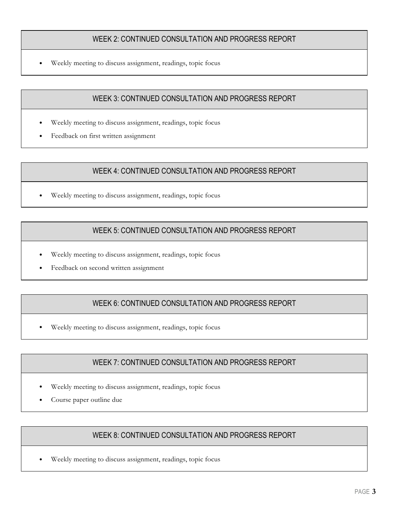## WEEK 2: CONTINUED CONSULTATION AND PROGRESS REPORT

• Weekly meeting to discuss assignment, readings, topic focus

## WEEK 3: CONTINUED CONSULTATION AND PROGRESS REPORT

- Weekly meeting to discuss assignment, readings, topic focus
- Feedback on first written assignment

## WEEK 4: CONTINUED CONSULTATION AND PROGRESS REPORT

Weekly meeting to discuss assignment, readings, topic focus

## WEEK 5: CONTINUED CONSULTATION AND PROGRESS REPORT

- Weekly meeting to discuss assignment, readings, topic focus
- Feedback on second written assignment

## WEEK 6: CONTINUED CONSULTATION AND PROGRESS REPORT

Weekly meeting to discuss assignment, readings, topic focus

## WEEK 7: CONTINUED CONSULTATION AND PROGRESS REPORT

- Weekly meeting to discuss assignment, readings, topic focus
- Course paper outline due

# WEEK 8: CONTINUED CONSULTATION AND PROGRESS REPORT

• Weekly meeting to discuss assignment, readings, topic focus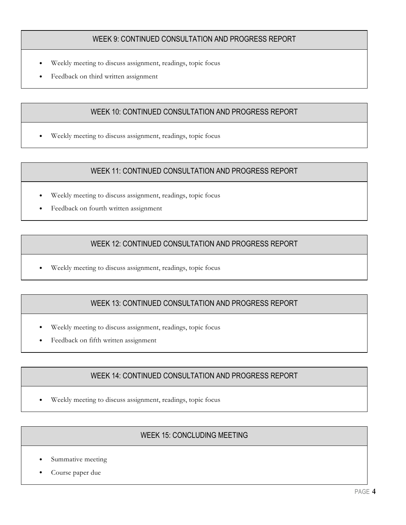## WEEK 9: CONTINUED CONSULTATION AND PROGRESS REPORT

- Weekly meeting to discuss assignment, readings, topic focus
- Feedback on third written assignment

## WEEK 10: CONTINUED CONSULTATION AND PROGRESS REPORT

• Weekly meeting to discuss assignment, readings, topic focus

## WEEK 11: CONTINUED CONSULTATION AND PROGRESS REPORT

- Weekly meeting to discuss assignment, readings, topic focus
- Feedback on fourth written assignment

## WEEK 12: CONTINUED CONSULTATION AND PROGRESS REPORT

• Weekly meeting to discuss assignment, readings, topic focus

# WEEK 13: CONTINUED CONSULTATION AND PROGRESS REPORT

- Weekly meeting to discuss assignment, readings, topic focus
- Feedback on fifth written assignment

# WEEK 14: CONTINUED CONSULTATION AND PROGRESS REPORT

• Weekly meeting to discuss assignment, readings, topic focus

# WEEK 15: CONCLUDING MEETING

- Summative meeting
- Course paper due